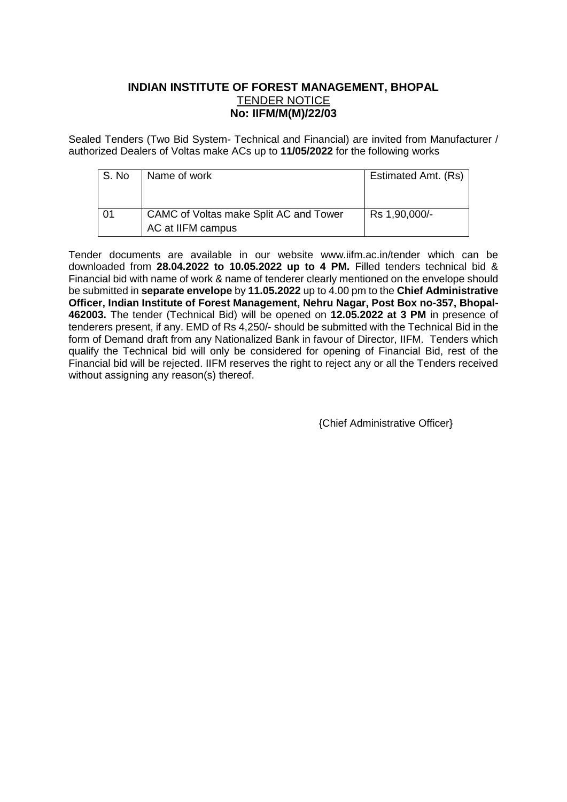# **INDIAN INSTITUTE OF FOREST MANAGEMENT, BHOPAL** TENDER NOTICE **No: IIFM/M(M)/22/03**

Sealed Tenders (Two Bid System- Technical and Financial) are invited from Manufacturer / authorized Dealers of Voltas make ACs up to **11/05/2022** for the following works

| S. No | Name of work                                                | Estimated Amt. (Rs) |  |  |
|-------|-------------------------------------------------------------|---------------------|--|--|
|       |                                                             |                     |  |  |
| 01    | CAMC of Voltas make Split AC and Tower<br>AC at IIFM campus | Rs 1,90,000/-       |  |  |

Tender documents are available in our website www.iifm.ac.in/tender which can be downloaded from **28.04.2022 to 10.05.2022 up to 4 PM.** Filled tenders technical bid & Financial bid with name of work & name of tenderer clearly mentioned on the envelope should be submitted in **separate envelope** by **11.05.2022** up to 4.00 pm to the **Chief Administrative Officer, Indian Institute of Forest Management, Nehru Nagar, Post Box no-357, Bhopal-462003.** The tender (Technical Bid) will be opened on **12.05.2022 at 3 PM** in presence of tenderers present, if any. EMD of Rs 4,250/- should be submitted with the Technical Bid in the form of Demand draft from any Nationalized Bank in favour of Director, IIFM. Tenders which qualify the Technical bid will only be considered for opening of Financial Bid, rest of the Financial bid will be rejected. IIFM reserves the right to reject any or all the Tenders received without assigning any reason(s) thereof.

{Chief Administrative Officer}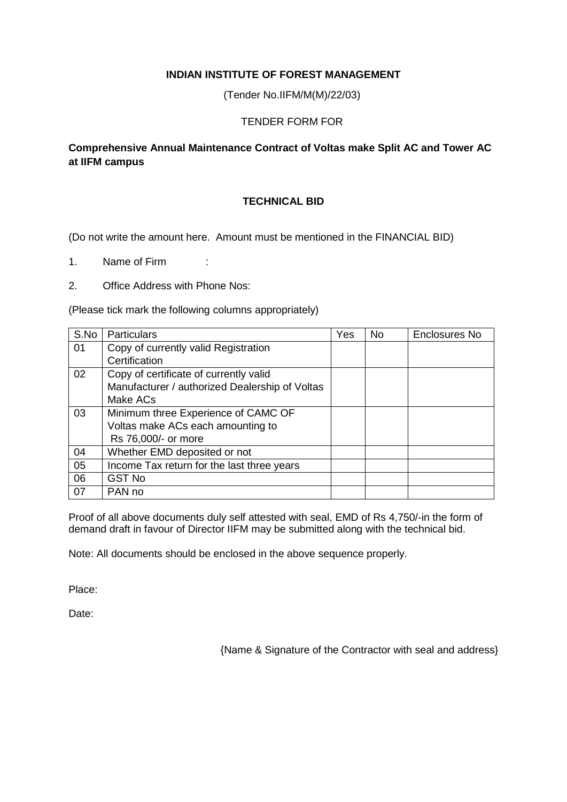### **INDIAN INSTITUTE OF FOREST MANAGEMENT**

(Tender No.IIFM/M(M)/22/03)

### TENDER FORM FOR

## **Comprehensive Annual Maintenance Contract of Voltas make Split AC and Tower AC at IIFM campus**

## **TECHNICAL BID**

(Do not write the amount here. Amount must be mentioned in the FINANCIAL BID)

1. Name of Firm :

2. Office Address with Phone Nos:

(Please tick mark the following columns appropriately)

| S.No | Particulars                                    | Yes | No. | Enclosures No |
|------|------------------------------------------------|-----|-----|---------------|
| 01   | Copy of currently valid Registration           |     |     |               |
|      | Certification                                  |     |     |               |
| 02   | Copy of certificate of currently valid         |     |     |               |
|      | Manufacturer / authorized Dealership of Voltas |     |     |               |
|      | Make ACs                                       |     |     |               |
| 03   | Minimum three Experience of CAMC OF            |     |     |               |
|      | Voltas make ACs each amounting to              |     |     |               |
|      | Rs 76,000/- or more                            |     |     |               |
| 04   | Whether EMD deposited or not                   |     |     |               |
| 05   | Income Tax return for the last three years     |     |     |               |
| 06   | <b>GST No</b>                                  |     |     |               |
| 07   | PAN no                                         |     |     |               |

Proof of all above documents duly self attested with seal, EMD of Rs 4,750/-in the form of demand draft in favour of Director IIFM may be submitted along with the technical bid.

Note: All documents should be enclosed in the above sequence properly.

Place:

Date:

{Name & Signature of the Contractor with seal and address}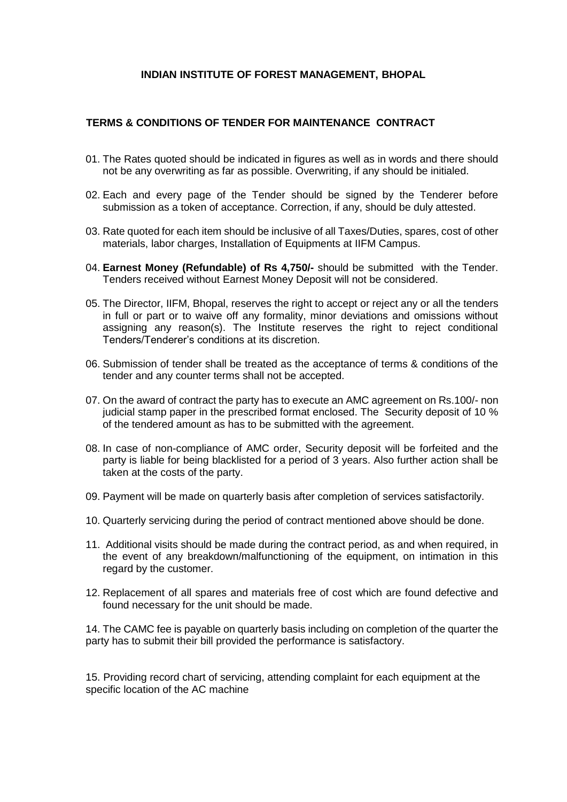#### **INDIAN INSTITUTE OF FOREST MANAGEMENT, BHOPAL**

#### **TERMS & CONDITIONS OF TENDER FOR MAINTENANCE CONTRACT**

- 01. The Rates quoted should be indicated in figures as well as in words and there should not be any overwriting as far as possible. Overwriting, if any should be initialed.
- 02. Each and every page of the Tender should be signed by the Tenderer before submission as a token of acceptance. Correction, if any, should be duly attested.
- 03. Rate quoted for each item should be inclusive of all Taxes/Duties, spares, cost of other materials, labor charges, Installation of Equipments at IIFM Campus.
- 04. **Earnest Money (Refundable) of Rs 4,750/-** should be submitted with the Tender. Tenders received without Earnest Money Deposit will not be considered.
- 05. The Director, IIFM, Bhopal, reserves the right to accept or reject any or all the tenders in full or part or to waive off any formality, minor deviations and omissions without assigning any reason(s). The Institute reserves the right to reject conditional Tenders/Tenderer's conditions at its discretion.
- 06. Submission of tender shall be treated as the acceptance of terms & conditions of the tender and any counter terms shall not be accepted.
- 07. On the award of contract the party has to execute an AMC agreement on Rs.100/- non judicial stamp paper in the prescribed format enclosed. The Security deposit of 10 % of the tendered amount as has to be submitted with the agreement.
- 08. In case of non-compliance of AMC order, Security deposit will be forfeited and the party is liable for being blacklisted for a period of 3 years. Also further action shall be taken at the costs of the party.
- 09. Payment will be made on quarterly basis after completion of services satisfactorily.
- 10. Quarterly servicing during the period of contract mentioned above should be done.
- 11. Additional visits should be made during the contract period, as and when required, in the event of any breakdown/malfunctioning of the equipment, on intimation in this regard by the customer.
- 12. Replacement of all spares and materials free of cost which are found defective and found necessary for the unit should be made.

14. The CAMC fee is payable on quarterly basis including on completion of the quarter the party has to submit their bill provided the performance is satisfactory.

15. Providing record chart of servicing, attending complaint for each equipment at the specific location of the AC machine